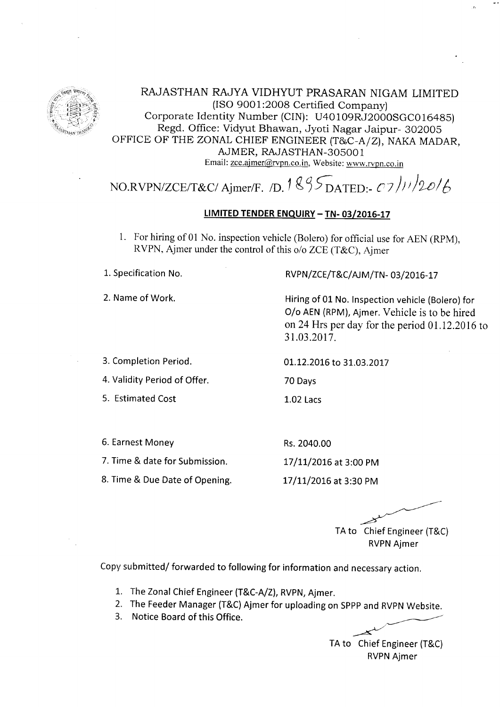

RAJASTHAN RAJYA VIDHYUT PRASARAN NIGAM LIMITED (ISO 9001:2008 Certified Company) Corporate Identity Number (CIN): U40109RJ2000SGC016485) Regd. Office: Vidyut Bhawan, Jyoti Nagar Jaipur- 302005 OFFICE OF THE ZONAL CHIEF ENGINEER  $(T&C-A/Z)$ , NAKA MADAR, AJMER, RAJASTHAN-3OsOO 1 Email: zce.ajmer@rvpn.co.in, Website: www.rvpn.co.in

# NO.RVPN/ZCE/T&C/ Ajmer/F. /D. 1  $\frac{8}{5}$ S $_{\text{DATED:}}$ - C7/11/2016

## LIMITED TENDER ENQUIRY - TN- 03/2016-17

70 Days

1.02 Lacs

Rs.2040.00

1. For hiring of 01 No. inspection vehicle (Bolero) for offrcial use for AEN (RPM), RVPN, Ajmer under the control of this o/o ZCE (T&C), Ajmer

1. Specification No.

2. Name of Work.

### RVPN/ZCE/T&C/AJM/TN-03/2016-17

Hiring of 01 No. lnspection vehicle (Bolero) for O/o AEN (RPM), Ajmer. Vehicle is to be hired on24 Hrs per day for the period 01.12.2016 to 3r.03.2017.

3. Completion Period.

01.12.2016 to 31.03.2017

4. Validity Period of Offer.

5. Estimated Cost

6. Earnest Money

7. Time & date for Submission.

17/LL/2016 at 3:00 PM

8. Time & Due Date of Opening.

17/11/2016 at 3:30 PM

TA to Chief Engineer (T&C)

RVPN Ajmer

Copy submitted/ forwarded to following for information and necessary action.

- The Zonal Chief Engineer (T&C-A/Z), RVPN, Ajmer. 1..
- The Feeder Manager (T&c) Ajmer for uploading on sppp and RVpN website. 2.
- 3. Notice Board of this Office.

 $\overline{\phantom{1}}$ TA to Chief Engineer (T&C) RVPN Ajmer

 $\cdot$  /-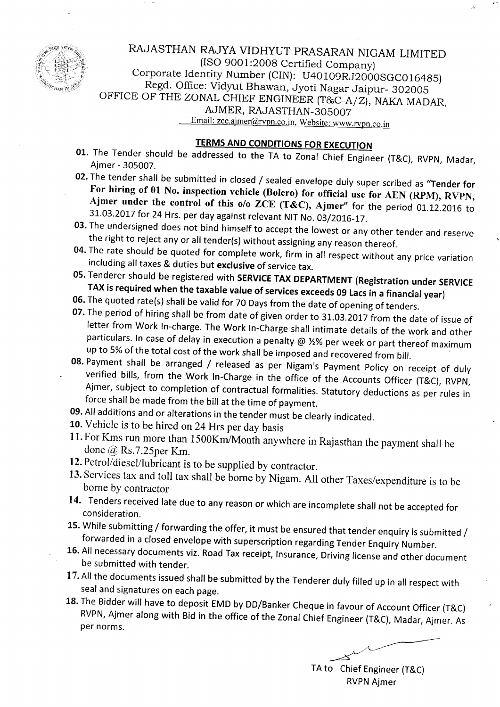

RAJASTHAN RAJYA VIDHYUT PRASARAN NIGAM LIMITED (ISO 9OO1:2008 Certified Company) Corporate Identity Number (CIN): U40109RJ2000SGC016485)<br>Regd. Office: Vidyut Bhawan, Jyoti Nagar Jaipur- 302005 Regd. Office: Vidyut Bhawan, Jyoti Nagar Jaipur- 302005<br>OFFICE OF THE ZONAL CHIEF ENGINEER (T&C-A/Z), NAKA MADAR, AJMER, RAJASTHAN-305007<br>Email: zce.ajmer@rvpn.co.in, Website: www.rvpn.co.in

- **TERMS AND CONDITIONS FOR EXECUTION**<br>
01. The Tender should be addressed to the TA to Zonal Chief Engineer (T&C), RVPN, Madar,<br>
02. The tender shall be submitted in closed / sealed envelope duly super scribed as "Tender fo
- For hiring of 01 No. inspection vehicle (Bolero) for official use for AEN (RPM), RVPN,<br>Ajmer under the control of this o/o ZCE (T&C), Ajmer" for the period 01.12.2016 to<br>31.03.2017 for 24 Hrs. per day against relevant NIT
- 
- the right to reject any or all tender(s) without assigning any reason thereof.<br>
04. The rate should be quoted for complete work, firm in all respect without any price variation<br>
including all taxes & duties but exclusive o
- 
- 
- TAX is required when the taxable value of services exceeds 09 Lacs in a financial year)<br>06. The quoted rate(s) shall be valid for 70 Days from the date of opening of tenders.<br>07. The period of hiring shall be from date of
- 08. Payment shall be arranged / released as per Nigam's Payment Policy on receipt of duly verified bills, from the Work In-Charge in the office of the Accounts Officer (T&C), RVPN, Ajmer, subject to completion of contractu
- 09. All additions and or alterations in the tender must be clearly indicated.
- 10. Vehicle is to be hired on 24 Hrs per day basis
- 11. For Kms run more than 1500Km/Month anywhere in Rajasthan the payment shall be done @ Rs.7.25per Km.
- 12. Petrol/diesel/lubricant is to be supplied by contractor.
- 13. Services tax and toll tax shall be borne by Nigam. All other Taxes/expenditure is to be borne by contractor
- 14. Tenders received late due to any reason or which are incomplete shall not be accepted for consideration.
- 15. While submitting / forwarding the offer, it must be ensured that tender enquiry is submitted /<br>forwarded in a closed envelope with superscription regarding Tender Enquiry Number.
- 16. All necessary documents viz. Road Tax receipt, Insurance, Driving license and other document be submitted with tender.
- 17. All the documents issued shall be submitted by the Tenderer duly filled up in all respect with seal and signatures on each page.<br>18. The Bidder will have to deposit EMD by DD/Banker Cheque in favour of Account Officer
- RVPN, Ajmer along with Bid in the office of the Zonal Chief Engineer (T&C), Madar, Ajmer. As per norms.

 $\overline{\mathscr{L}}$ 

TA to Chief Engineer (T&C) RVPN Ajmer